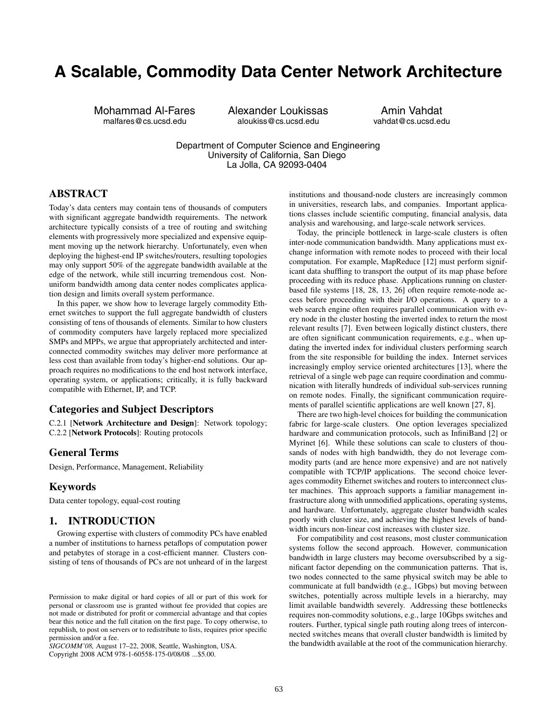# **A Scalable, Commodity Data Center Network Architecture**

Mohammad Al-Fares malfares@cs.ucsd.edu

Alexander Loukissas aloukiss@cs.ucsd.edu

Amin Vahdat vahdat@cs.ucsd.edu

Department of Computer Science and Engineering University of California, San Diego La Jolla, CA 92093-0404

# **ABSTRACT**

Today's data centers may contain tens of thousands of computers with significant aggregate bandwidth requirements. The network architecture typically consists of a tree of routing and switching elements with progressively more specialized and expensive equipment moving up the network hierarchy. Unfortunately, even when deploying the highest-end IP switches/routers, resulting topologies may only support 50% of the aggregate bandwidth available at the edge of the network, while still incurring tremendous cost. Nonuniform bandwidth among data center nodes complicates application design and limits overall system performance.

In this paper, we show how to leverage largely commodity Ethernet switches to support the full aggregate bandwidth of clusters consisting of tens of thousands of elements. Similar to how clusters of commodity computers have largely replaced more specialized SMPs and MPPs, we argue that appropriately architected and interconnected commodity switches may deliver more performance at less cost than available from today's higher-end solutions. Our approach requires no modifications to the end host network interface, operating system, or applications; critically, it is fully backward compatible with Ethernet, IP, and TCP.

# **Categories and Subject Descriptors**

C.2.1 [**Network Architecture and Design**]: Network topology; C.2.2 [**Network Protocols**]: Routing protocols

#### **General Terms**

Design, Performance, Management, Reliability

## **Keywords**

Data center topology, equal-cost routing

## **1. INTRODUCTION**

Growing expertise with clusters of commodity PCs have enabled a number of institutions to harness petaflops of computation power and petabytes of storage in a cost-efficient manner. Clusters consisting of tens of thousands of PCs are not unheard of in the largest

*SIGCOMM'08,* August 17–22, 2008, Seattle, Washington, USA. Copyright 2008 ACM 978-1-60558-175-0/08/08 ...\$5.00.

institutions and thousand-node clusters are increasingly common in universities, research labs, and companies. Important applications classes include scientific computing, financial analysis, data analysis and warehousing, and large-scale network services.

Today, the principle bottleneck in large-scale clusters is often inter-node communication bandwidth. Many applications must exchange information with remote nodes to proceed with their local computation. For example, MapReduce [12] must perform significant data shuffling to transport the output of its map phase before proceeding with its reduce phase. Applications running on clusterbased file systems [18, 28, 13, 26] often require remote-node access before proceeding with their I/O operations. A query to a web search engine often requires parallel communication with every node in the cluster hosting the inverted index to return the most relevant results [7]. Even between logically distinct clusters, there are often significant communication requirements, e.g., when updating the inverted index for individual clusters performing search from the site responsible for building the index. Internet services increasingly employ service oriented architectures [13], where the retrieval of a single web page can require coordination and communication with literally hundreds of individual sub-services running on remote nodes. Finally, the significant communication requirements of parallel scientific applications are well known [27, 8].

There are two high-level choices for building the communication fabric for large-scale clusters. One option leverages specialized hardware and communication protocols, such as InfiniBand [2] or Myrinet [6]. While these solutions can scale to clusters of thousands of nodes with high bandwidth, they do not leverage commodity parts (and are hence more expensive) and are not natively compatible with TCP/IP applications. The second choice leverages commodity Ethernet switches and routers to interconnect cluster machines. This approach supports a familiar management infrastructure along with unmodified applications, operating systems, and hardware. Unfortunately, aggregate cluster bandwidth scales poorly with cluster size, and achieving the highest levels of bandwidth incurs non-linear cost increases with cluster size.

For compatibility and cost reasons, most cluster communication systems follow the second approach. However, communication bandwidth in large clusters may become oversubscribed by a significant factor depending on the communication patterns. That is, two nodes connected to the same physical switch may be able to communicate at full bandwidth (e.g., 1Gbps) but moving between switches, potentially across multiple levels in a hierarchy, may limit available bandwidth severely. Addressing these bottlenecks requires non-commodity solutions, e.g., large 10Gbps switches and routers. Further, typical single path routing along trees of interconnected switches means that overall cluster bandwidth is limited by the bandwidth available at the root of the communication hierarchy.

Permission to make digital or hard copies of all or part of this work for personal or classroom use is granted without fee provided that copies are not made or distributed for profit or commercial advantage and that copies bear this notice and the full citation on the first page. To copy otherwise, to republish, to post on servers or to redistribute to lists, requires prior specific permission and/or a fee.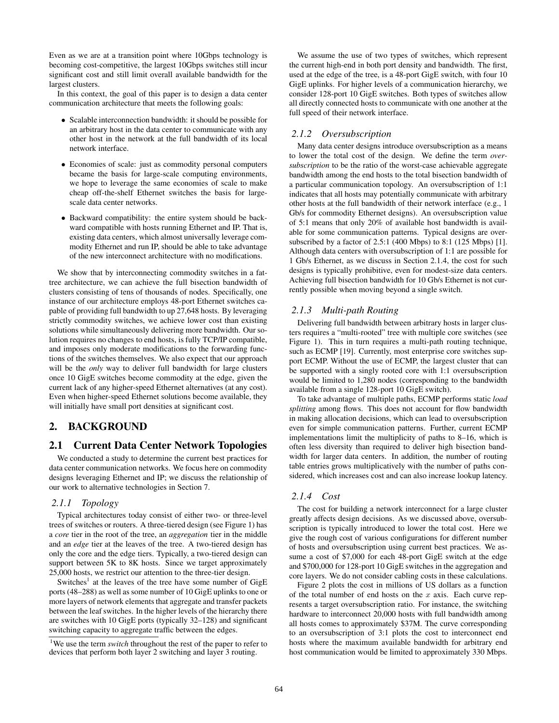Even as we are at a transition point where 10Gbps technology is becoming cost-competitive, the largest 10Gbps switches still incur significant cost and still limit overall available bandwidth for the largest clusters.

In this context, the goal of this paper is to design a data center communication architecture that meets the following goals:

- Scalable interconnection bandwidth: it should be possible for an arbitrary host in the data center to communicate with any other host in the network at the full bandwidth of its local network interface.
- Economies of scale: just as commodity personal computers became the basis for large-scale computing environments, we hope to leverage the same economies of scale to make cheap off-the-shelf Ethernet switches the basis for largescale data center networks.
- Backward compatibility: the entire system should be backward compatible with hosts running Ethernet and IP. That is, existing data centers, which almost universally leverage commodity Ethernet and run IP, should be able to take advantage of the new interconnect architecture with no modifications.

We show that by interconnecting commodity switches in a fattree architecture, we can achieve the full bisection bandwidth of clusters consisting of tens of thousands of nodes. Specifically, one instance of our architecture employs 48-port Ethernet switches capable of providing full bandwidth to up 27,648 hosts. By leveraging strictly commodity switches, we achieve lower cost than existing solutions while simultaneously delivering more bandwidth. Our solution requires no changes to end hosts, is fully TCP/IP compatible, and imposes only moderate modifications to the forwarding functions of the switches themselves. We also expect that our approach will be the *only* way to deliver full bandwidth for large clusters once 10 GigE switches become commodity at the edge, given the current lack of any higher-speed Ethernet alternatives (at any cost). Even when higher-speed Ethernet solutions become available, they will initially have small port densities at significant cost.

# **2. BACKGROUND**

## **2.1 Current Data Center Network Topologies**

We conducted a study to determine the current best practices for data center communication networks. We focus here on commodity designs leveraging Ethernet and IP; we discuss the relationship of our work to alternative technologies in Section 7.

#### *2.1.1 Topology*

Typical architectures today consist of either two- or three-level trees of switches or routers. A three-tiered design (see Figure 1) has a *core* tier in the root of the tree, an *aggregation* tier in the middle and an *edge* tier at the leaves of the tree. A two-tiered design has only the core and the edge tiers. Typically, a two-tiered design can support between 5K to 8K hosts. Since we target approximately 25,000 hosts, we restrict our attention to the three-tier design.

Switches<sup>1</sup> at the leaves of the tree have some number of GigE ports (48–288) as well as some number of 10 GigE uplinks to one or more layers of network elements that aggregate and transfer packets between the leaf switches. In the higher levels of the hierarchy there are switches with 10 GigE ports (typically 32–128) and significant switching capacity to aggregate traffic between the edges.

We assume the use of two types of switches, which represent the current high-end in both port density and bandwidth. The first, used at the edge of the tree, is a 48-port GigE switch, with four 10 GigE uplinks. For higher levels of a communication hierarchy, we consider 128-port 10 GigE switches. Both types of switches allow all directly connected hosts to communicate with one another at the full speed of their network interface.

#### *2.1.2 Oversubscription*

Many data center designs introduce oversubscription as a means to lower the total cost of the design. We define the term *oversubscription* to be the ratio of the worst-case achievable aggregate bandwidth among the end hosts to the total bisection bandwidth of a particular communication topology. An oversubscription of 1:1 indicates that all hosts may potentially communicate with arbitrary other hosts at the full bandwidth of their network interface (e.g., 1 Gb/s for commodity Ethernet designs). An oversubscription value of 5:1 means that only 20% of available host bandwidth is available for some communication patterns. Typical designs are oversubscribed by a factor of 2.5:1 (400 Mbps) to 8:1 (125 Mbps) [1]. Although data centers with oversubscription of 1:1 are possible for 1 Gb/s Ethernet, as we discuss in Section 2.1.4, the cost for such designs is typically prohibitive, even for modest-size data centers. Achieving full bisection bandwidth for 10 Gb/s Ethernet is not currently possible when moving beyond a single switch.

#### *2.1.3 Multi-path Routing*

Delivering full bandwidth between arbitrary hosts in larger clusters requires a "multi-rooted" tree with multiple core switches (see Figure 1). This in turn requires a multi-path routing technique, such as ECMP [19]. Currently, most enterprise core switches support ECMP. Without the use of ECMP, the largest cluster that can be supported with a singly rooted core with 1:1 oversubscription would be limited to 1,280 nodes (corresponding to the bandwidth available from a single 128-port 10 GigE switch).

To take advantage of multiple paths, ECMP performs static *load splitting* among flows. This does not account for flow bandwidth in making allocation decisions, which can lead to oversubscription even for simple communication patterns. Further, current ECMP implementations limit the multiplicity of paths to 8–16, which is often less diversity than required to deliver high bisection bandwidth for larger data centers. In addition, the number of routing table entries grows multiplicatively with the number of paths considered, which increases cost and can also increase lookup latency.

#### *2.1.4 Cost*

The cost for building a network interconnect for a large cluster greatly affects design decisions. As we discussed above, oversubscription is typically introduced to lower the total cost. Here we give the rough cost of various configurations for different number of hosts and oversubscription using current best practices. We assume a cost of \$7,000 for each 48-port GigE switch at the edge and \$700,000 for 128-port 10 GigE switches in the aggregation and core layers. We do not consider cabling costs in these calculations.

Figure 2 plots the cost in millions of US dollars as a function of the total number of end hosts on the *x* axis. Each curve represents a target oversubscription ratio. For instance, the switching hardware to interconnect 20,000 hosts with full bandwidth among all hosts comes to approximately \$37M. The curve corresponding to an oversubscription of 3:1 plots the cost to interconnect end hosts where the maximum available bandwidth for arbitrary end host communication would be limited to approximately 330 Mbps.

<sup>&</sup>lt;sup>1</sup>We use the term *switch* throughout the rest of the paper to refer to devices that perform both layer 2 switching and layer 3 routing.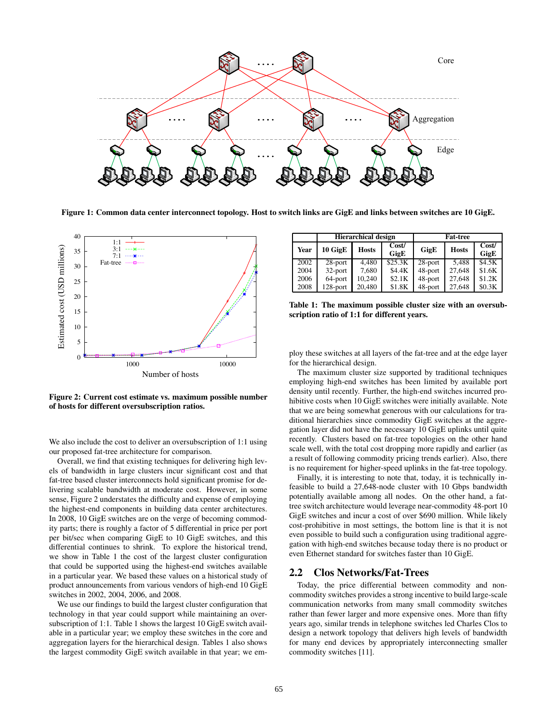

**Figure 1: Common data center interconnect topology. Host to switch links are GigE and links between switches are 10 GigE.**



**Figure 2: Current cost estimate vs. maximum possible number of hosts for different oversubscription ratios.**

We also include the cost to deliver an oversubscription of 1:1 using our proposed fat-tree architecture for comparison.

Overall, we find that existing techniques for delivering high levels of bandwidth in large clusters incur significant cost and that fat-tree based cluster interconnects hold significant promise for delivering scalable bandwidth at moderate cost. However, in some sense, Figure 2 understates the difficulty and expense of employing the highest-end components in building data center architectures. In 2008, 10 GigE switches are on the verge of becoming commodity parts; there is roughly a factor of 5 differential in price per port per bit/sec when comparing GigE to 10 GigE switches, and this differential continues to shrink. To explore the historical trend, we show in Table 1 the cost of the largest cluster configuration that could be supported using the highest-end switches available in a particular year. We based these values on a historical study of product announcements from various vendors of high-end 10 GigE switches in 2002, 2004, 2006, and 2008.

We use our findings to build the largest cluster configuration that technology in that year could support while maintaining an oversubscription of 1:1. Table 1 shows the largest 10 GigE switch available in a particular year; we employ these switches in the core and aggregation layers for the hierarchical design. Tables 1 also shows the largest commodity GigE switch available in that year; we em-

|      | <b>Hierarchical design</b> |              |               | <b>Fat-tree</b> |              |               |
|------|----------------------------|--------------|---------------|-----------------|--------------|---------------|
| Year | 10 GigE                    | <b>Hosts</b> | Cost/<br>GigE | GigE            | <b>Hosts</b> | Cost/<br>GigE |
| 2002 | 28-port                    | 4.480        | \$25.3K       | 28-port         | 5.488        | \$4.5K        |
| 2004 | $32$ -port                 | 7,680        | \$4.4K        | 48-port         | 27.648       | \$1.6K        |
| 2006 | 64-port                    | 10.240       | \$2.1K        | 48-port         | 27.648       | \$1.2K        |
| 2008 | $128$ -port                | 20,480       | \$1.8K        | 48-port         | 27,648       | \$0.3K        |

**Table 1: The maximum possible cluster size with an oversubscription ratio of 1:1 for different years.**

ploy these switches at all layers of the fat-tree and at the edge layer for the hierarchical design.

The maximum cluster size supported by traditional techniques employing high-end switches has been limited by available port density until recently. Further, the high-end switches incurred prohibitive costs when 10 GigE switches were initially available. Note that we are being somewhat generous with our calculations for traditional hierarchies since commodity GigE switches at the aggregation layer did not have the necessary 10 GigE uplinks until quite recently. Clusters based on fat-tree topologies on the other hand scale well, with the total cost dropping more rapidly and earlier (as a result of following commodity pricing trends earlier). Also, there is no requirement for higher-speed uplinks in the fat-tree topology.

Finally, it is interesting to note that, today, it is technically infeasible to build a 27,648-node cluster with 10 Gbps bandwidth potentially available among all nodes. On the other hand, a fattree switch architecture would leverage near-commodity 48-port 10 GigE switches and incur a cost of over \$690 million. While likely cost-prohibitive in most settings, the bottom line is that it is not even possible to build such a configuration using traditional aggregation with high-end switches because today there is no product or even Ethernet standard for switches faster than 10 GigE.

## **2.2 Clos Networks/Fat-Trees**

Today, the price differential between commodity and noncommodity switches provides a strong incentive to build large-scale communication networks from many small commodity switches rather than fewer larger and more expensive ones. More than fifty years ago, similar trends in telephone switches led Charles Clos to design a network topology that delivers high levels of bandwidth for many end devices by appropriately interconnecting smaller commodity switches [11].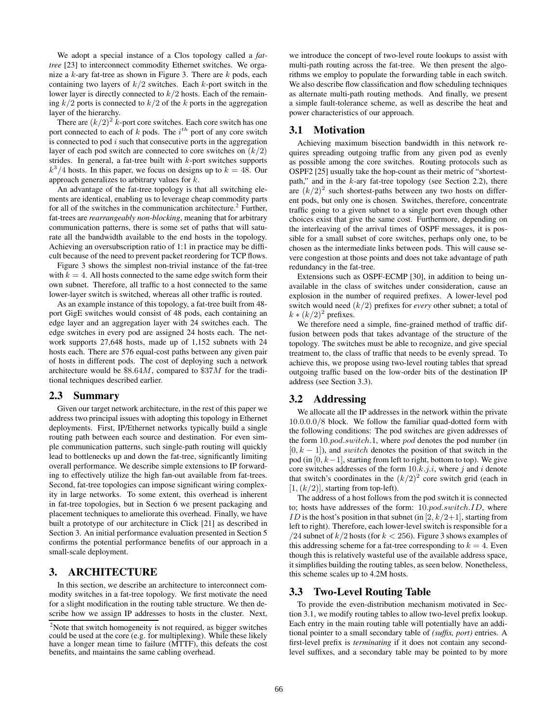We adopt a special instance of a Clos topology called a *fattree* [23] to interconnect commodity Ethernet switches. We organize a *k*-ary fat-tree as shown in Figure 3. There are *k* pods, each containing two layers of  $k/2$  switches. Each  $k$ -port switch in the lower layer is directly connected to *k/*2 hosts. Each of the remaining  $k/2$  ports is connected to  $k/2$  of the *k* ports in the aggregation layer of the hierarchy.

There are  $(k/2)^2$  *k*-port core switches. Each core switch has one port connected to each of *k* pods. The *i th* port of any core switch is connected to pod *i* such that consecutive ports in the aggregation layer of each pod switch are connected to core switches on (*k/*2) strides. In general, a fat-tree built with *k*-port switches supports  $k^3/4$  hosts. In this paper, we focus on designs up to  $k = 48$ . Our approach generalizes to arbitrary values for *k*.

An advantage of the fat-tree topology is that all switching elements are identical, enabling us to leverage cheap commodity parts for all of the switches in the communication architecture.<sup>2</sup> Further, fat-trees are *rearrangeably non-blocking*, meaning that for arbitrary communication patterns, there is some set of paths that will saturate all the bandwidth available to the end hosts in the topology. Achieving an oversubscription ratio of 1:1 in practice may be difficult because of the need to prevent packet reordering for TCP flows.

Figure 3 shows the simplest non-trivial instance of the fat-tree with  $k = 4$ . All hosts connected to the same edge switch form their own subnet. Therefore, all traffic to a host connected to the same lower-layer switch is switched, whereas all other traffic is routed.

As an example instance of this topology, a fat-tree built from 48 port GigE switches would consist of 48 pods, each containing an edge layer and an aggregation layer with 24 switches each. The edge switches in every pod are assigned 24 hosts each. The network supports 27,648 hosts, made up of 1,152 subnets with 24 hosts each. There are 576 equal-cost paths between any given pair of hosts in different pods. The cost of deploying such a network architecture would be \$8*.*64*M*, compared to \$37*M* for the traditional techniques described earlier.

#### **2.3 Summary**

Given our target network architecture, in the rest of this paper we address two principal issues with adopting this topology in Ethernet deployments. First, IP/Ethernet networks typically build a single routing path between each source and destination. For even simple communication patterns, such single-path routing will quickly lead to bottlenecks up and down the fat-tree, significantly limiting overall performance. We describe simple extensions to IP forwarding to effectively utilize the high fan-out available from fat-trees. Second, fat-tree topologies can impose significant wiring complexity in large networks. To some extent, this overhead is inherent in fat-tree topologies, but in Section 6 we present packaging and placement techniques to ameliorate this overhead. Finally, we have built a prototype of our architecture in Click [21] as described in Section 3. An initial performance evaluation presented in Section 5 confirms the potential performance benefits of our approach in a small-scale deployment.

# **3. ARCHITECTURE**

In this section, we describe an architecture to interconnect commodity switches in a fat-tree topology. We first motivate the need for a slight modification in the routing table structure. We then describe how we assign IP addresses to hosts in the cluster. Next,

we introduce the concept of two-level route lookups to assist with multi-path routing across the fat-tree. We then present the algorithms we employ to populate the forwarding table in each switch. We also describe flow classification and flow scheduling techniques as alternate multi-path routing methods. And finally, we present a simple fault-tolerance scheme, as well as describe the heat and power characteristics of our approach.

## **3.1 Motivation**

Achieving maximum bisection bandwidth in this network requires spreading outgoing traffic from any given pod as evenly as possible among the core switches. Routing protocols such as OSPF2 [25] usually take the hop-count as their metric of "shortestpath," and in the *k*-ary fat-tree topology (see Section 2.2), there are  $(k/2)^2$  such shortest-paths between any two hosts on different pods, but only one is chosen. Switches, therefore, concentrate traffic going to a given subnet to a single port even though other choices exist that give the same cost. Furthermore, depending on the interleaving of the arrival times of OSPF messages, it is possible for a small subset of core switches, perhaps only one, to be chosen as the intermediate links between pods. This will cause severe congestion at those points and does not take advantage of path redundancy in the fat-tree.

Extensions such as OSPF-ECMP [30], in addition to being unavailable in the class of switches under consideration, cause an explosion in the number of required prefixes. A lower-level pod switch would need (*k/*2) prefixes for *every* other subnet; a total of  $k * (k/2)^2$  prefixes.

We therefore need a simple, fine-grained method of traffic diffusion between pods that takes advantage of the structure of the topology. The switches must be able to recognize, and give special treatment to, the class of traffic that needs to be evenly spread. To achieve this, we propose using two-level routing tables that spread outgoing traffic based on the low-order bits of the destination IP address (see Section 3.3).

## **3.2 Addressing**

We allocate all the IP addresses in the network within the private 10*.*0*.*0*.*0*/*8 block. We follow the familiar quad-dotted form with the following conditions: The pod switches are given addresses of the form 10*.pod.switch.*1, where *pod* denotes the pod number (in [0*, k* <sup>−</sup> 1]), and *switch* denotes the position of that switch in the pod (in [0*, k*−1], starting from left to right, bottom to top). We give core switches addresses of the form 10*.k.j.i*, where *j* and *i* denote that switch's coordinates in the  $(k/2)^2$  core switch grid (each in  $[1, (k/2)]$ , starting from top-left).

The address of a host follows from the pod switch it is connected to; hosts have addresses of the form: 10*.pod.switch.ID*, where *ID* is the host's position in that subnet (in [2,  $k/2+1$ ], starting from left to right). Therefore, each lower-level switch is responsible for a */*24 subnet of *k/*2 hosts (for *k <* 256). Figure 3 shows examples of this addressing scheme for a fat-tree corresponding to  $k = 4$ . Even though this is relatively wasteful use of the available address space, it simplifies building the routing tables, as seen below. Nonetheless, this scheme scales up to 4.2M hosts.

#### **3.3 Two-Level Routing Table**

To provide the even-distribution mechanism motivated in Section 3.1, we modify routing tables to allow two-level prefix lookup. Each entry in the main routing table will potentially have an additional pointer to a small secondary table of *(suffix, port)* entries. A first-level prefix is *terminating* if it does not contain any secondlevel suffixes, and a secondary table may be pointed to by more

 $2$ Note that switch homogeneity is not required, as bigger switches could be used at the core (e.g. for multiplexing). While these likely have a longer mean time to failure (MTTF), this defeats the cost benefits, and maintains the same cabling overhead.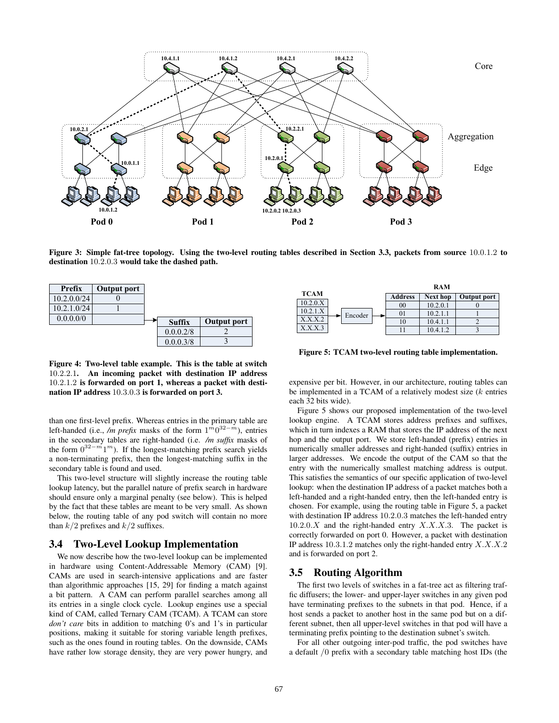

**Figure 3: Simple fat-tree topology. Using the two-level routing tables described in Section 3.3, packets from source** 10*.*0*.*1*.*2 **to destination** 10*.*2*.*0*.*3 **would take the dashed path.**



**Figure 4: Two-level table example. This is the table at switch** 10*.*2*.*2*.*1**. An incoming packet with destination IP address** 10*.*2*.*1*.*2 **is forwarded on port 1, whereas a packet with destination IP address** 10*.*3*.*0*.*3 **is forwarded on port 3.**

than one first-level prefix. Whereas entries in the primary table are left-handed (i.e., */m prefix* masks of the form  $1^m0^{32-m}$ ), entries in the secondary tables are right-handed (i.e. */m suffix* masks of the form 0<sup>32</sup>*−<sup>m</sup>*1*<sup>m</sup>*). If the longest-matching prefix search yields a non-terminating prefix, then the longest-matching suffix in the secondary table is found and used.

This two-level structure will slightly increase the routing table lookup latency, but the parallel nature of prefix search in hardware should ensure only a marginal penalty (see below). This is helped by the fact that these tables are meant to be very small. As shown below, the routing table of any pod switch will contain no more than  $k/2$  prefixes and  $k/2$  suffixes.

# **3.4 Two-Level Lookup Implementation**

We now describe how the two-level lookup can be implemented in hardware using Content-Addressable Memory (CAM) [9]. CAMs are used in search-intensive applications and are faster than algorithmic approaches [15, 29] for finding a match against a bit pattern. A CAM can perform parallel searches among all its entries in a single clock cycle. Lookup engines use a special kind of CAM, called Ternary CAM (TCAM). A TCAM can store *don't care* bits in addition to matching 0's and 1's in particular positions, making it suitable for storing variable length prefixes, such as the ones found in routing tables. On the downside, CAMs have rather low storage density, they are very power hungry, and

|             |         | <b>RAM</b>     |          |             |
|-------------|---------|----------------|----------|-------------|
| <b>TCAM</b> |         | <b>Address</b> | Next hop | Output port |
| 10.2.0.X    |         | 00             | 10.2.0.1 |             |
| 10.2.1.X    | Encoder |                | 10.2.1.1 |             |
| X.X.X.2     |         |                | 10.4.1.1 |             |
| X.X.X.3     |         |                | 10412    |             |

**Figure 5: TCAM two-level routing table implementation.**

expensive per bit. However, in our architecture, routing tables can be implemented in a TCAM of a relatively modest size (*k* entries each 32 bits wide).

Figure 5 shows our proposed implementation of the two-level lookup engine. A TCAM stores address prefixes and suffixes, which in turn indexes a RAM that stores the IP address of the next hop and the output port. We store left-handed (prefix) entries in numerically smaller addresses and right-handed (suffix) entries in larger addresses. We encode the output of the CAM so that the entry with the numerically smallest matching address is output. This satisfies the semantics of our specific application of two-level lookup: when the destination IP address of a packet matches both a left-handed and a right-handed entry, then the left-handed entry is chosen. For example, using the routing table in Figure 5, a packet with destination IP address 10*.*2*.*0*.*3 matches the left-handed entry 10*.*2*.*0*.X* and the right-handed entry *X.X.X.*3. The packet is correctly forwarded on port 0. However, a packet with destination IP address 10*.*3*.*1*.*2 matches only the right-handed entry *X.X.X.*2 and is forwarded on port 2.

## **3.5 Routing Algorithm**

The first two levels of switches in a fat-tree act as filtering traffic diffusers; the lower- and upper-layer switches in any given pod have terminating prefixes to the subnets in that pod. Hence, if a host sends a packet to another host in the same pod but on a different subnet, then all upper-level switches in that pod will have a terminating prefix pointing to the destination subnet's switch.

For all other outgoing inter-pod traffic, the pod switches have a default */*0 prefix with a secondary table matching host IDs (the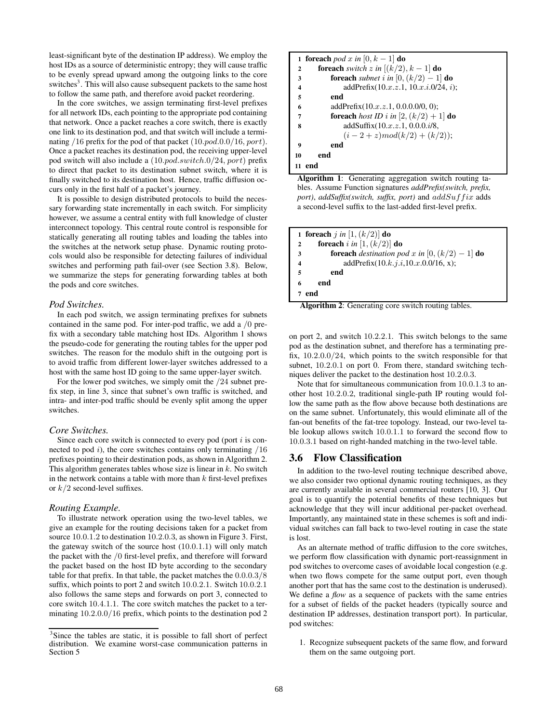least-significant byte of the destination IP address). We employ the host IDs as a source of deterministic entropy; they will cause traffic to be evenly spread upward among the outgoing links to the core switches<sup>3</sup>. This will also cause subsequent packets to the same host to follow the same path, and therefore avoid packet reordering.

In the core switches, we assign terminating first-level prefixes for all network IDs, each pointing to the appropriate pod containing that network. Once a packet reaches a core switch, there is exactly one link to its destination pod, and that switch will include a terminating */*16 prefix for the pod of that packet (10*.pod.*0*.*0*/*16*, port*). Once a packet reaches its destination pod, the receiving upper-level pod switch will also include a (10*.pod.switch.*0*/*24*, port*) prefix to direct that packet to its destination subnet switch, where it is finally switched to its destination host. Hence, traffic diffusion occurs only in the first half of a packet's journey.

It is possible to design distributed protocols to build the necessary forwarding state incrementally in each switch. For simplicity however, we assume a central entity with full knowledge of cluster interconnect topology. This central route control is responsible for statically generating all routing tables and loading the tables into the switches at the network setup phase. Dynamic routing protocols would also be responsible for detecting failures of individual switches and performing path fail-over (see Section 3.8). Below, we summarize the steps for generating forwarding tables at both the pods and core switches.

#### *Pod Switches.*

In each pod switch, we assign terminating prefixes for subnets contained in the same pod. For inter-pod traffic, we add a */*0 prefix with a secondary table matching host IDs. Algorithm 1 shows the pseudo-code for generating the routing tables for the upper pod switches. The reason for the modulo shift in the outgoing port is to avoid traffic from different lower-layer switches addressed to a host with the same host ID going to the same upper-layer switch.

For the lower pod switches, we simply omit the */*24 subnet prefix step, in line 3, since that subnet's own traffic is switched, and intra- and inter-pod traffic should be evenly split among the upper switches.

#### *Core Switches.*

Since each core switch is connected to every pod (port *i* is connected to pod *i*), the core switches contains only terminating */*16 prefixes pointing to their destination pods, as shown in Algorithm 2. This algorithm generates tables whose size is linear in *k*. No switch in the network contains a table with more than *k* first-level prefixes or *k/*2 second-level suffixes.

#### *Routing Example.*

To illustrate network operation using the two-level tables, we give an example for the routing decisions taken for a packet from source 10*.*0*.*1*.*2 to destination 10*.*2*.*0*.*3, as shown in Figure 3. First, the gateway switch of the source host (10*.*0*.*1*.*1) will only match the packet with the */*0 first-level prefix, and therefore will forward the packet based on the host ID byte according to the secondary table for that prefix. In that table, the packet matches the 0*.*0*.*0*.*3*/*8 suffix, which points to port 2 and switch 10*.*0*.*2*.*1. Switch 10*.*0*.*2*.*1 also follows the same steps and forwards on port 3, connected to core switch 10*.*4*.*1*.*1. The core switch matches the packet to a terminating 10*.*2*.*0*.*0*/*16 prefix, which points to the destination pod 2

|              | 1 foreach pod x in $[0, k - 1]$ do                      |  |  |
|--------------|---------------------------------------------------------|--|--|
| $\mathbf{2}$ | <b>foreach</b> switch z in $[(k/2), k-1]$ <b>do</b>     |  |  |
| 3            | <b>foreach</b> subnet i in [0, $(k/2) - 1$ ] <b>do</b>  |  |  |
| 4            | addPrefix $(10.x.z.1, 10.x.i.0/24, i)$ ;                |  |  |
| 5            | end                                                     |  |  |
| 6            | addPrefix $(10.x.z.1, 0.0.0.0/0, 0)$ ;                  |  |  |
| 7            | <b>foreach</b> host ID i in [2, $(k/2) + 1$ ] <b>do</b> |  |  |
| 8            | addSuffix $(10.x.z.1, 0.0.0.i/8, )$                     |  |  |
|              | $(i-2+z) mod (k/2) + (k/2));$                           |  |  |
| 9            | end                                                     |  |  |
| 10           | end                                                     |  |  |
| end          |                                                         |  |  |

**Algorithm 1**: Generating aggregation switch routing tables. Assume Function signatures *addPrefix(switch, prefix, port)*, *addSuffix(switch, suffix, port)* and *addSuff ix* adds a second-level suffix to the last-added first-level prefix.

| 1 foreach j in $[1, (k/2)]$ do                                      |
|---------------------------------------------------------------------|
| <b>for<br/>each</b> i in [1, $(k/2)$ ] <b>do</b><br>$\mathbf{2}$    |
| <b>foreach</b> destination pod x in $[0, (k/2) - 1]$ <b>do</b><br>3 |
| addPrefix $(10.k.i.i.10.x.0.0/16, x);$<br>4                         |
| end<br>5                                                            |
| end<br>6                                                            |
| end<br>7                                                            |
| $\mathbf{r}$                                                        |

**Algorithm 2**: Generating core switch routing tables.

on port 2, and switch 10*.*2*.*2*.*1. This switch belongs to the same pod as the destination subnet, and therefore has a terminating prefix, 10*.*2*.*0*.*0*/*24, which points to the switch responsible for that subnet, 10*.*2*.*0*.*1 on port 0. From there, standard switching techniques deliver the packet to the destination host 10*.*2*.*0*.*3.

Note that for simultaneous communication from 10*.*0*.*1*.*3 to another host 10*.*2*.*0*.*2, traditional single-path IP routing would follow the same path as the flow above because both destinations are on the same subnet. Unfortunately, this would eliminate all of the fan-out benefits of the fat-tree topology. Instead, our two-level table lookup allows switch 10*.*0*.*1*.*1 to forward the second flow to 10*.*0*.*3*.*1 based on right-handed matching in the two-level table.

# **3.6 Flow Classification**

In addition to the two-level routing technique described above, we also consider two optional dynamic routing techniques, as they are currently available in several commercial routers [10, 3]. Our goal is to quantify the potential benefits of these techniques but acknowledge that they will incur additional per-packet overhead. Importantly, any maintained state in these schemes is soft and individual switches can fall back to two-level routing in case the state is lost.

As an alternate method of traffic diffusion to the core switches, we perform flow classification with dynamic port-reassignment in pod switches to overcome cases of avoidable local congestion (e.g. when two flows compete for the same output port, even though another port that has the same cost to the destination is underused). We define a *flow* as a sequence of packets with the same entries for a subset of fields of the packet headers (typically source and destination IP addresses, destination transport port). In particular, pod switches:

1. Recognize subsequent packets of the same flow, and forward them on the same outgoing port.

<sup>&</sup>lt;sup>3</sup>Since the tables are static, it is possible to fall short of perfect distribution. We examine worst-case communication patterns in Section 5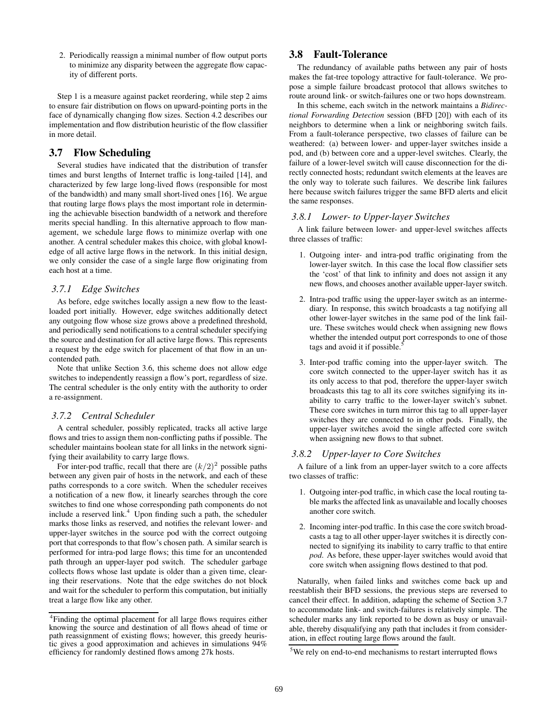2. Periodically reassign a minimal number of flow output ports to minimize any disparity between the aggregate flow capacity of different ports.

Step 1 is a measure against packet reordering, while step 2 aims to ensure fair distribution on flows on upward-pointing ports in the face of dynamically changing flow sizes. Section 4.2 describes our implementation and flow distribution heuristic of the flow classifier in more detail.

# **3.7 Flow Scheduling**

Several studies have indicated that the distribution of transfer times and burst lengths of Internet traffic is long-tailed [14], and characterized by few large long-lived flows (responsible for most of the bandwidth) and many small short-lived ones [16]. We argue that routing large flows plays the most important role in determining the achievable bisection bandwidth of a network and therefore merits special handling. In this alternative approach to flow management, we schedule large flows to minimize overlap with one another. A central scheduler makes this choice, with global knowledge of all active large flows in the network. In this initial design, we only consider the case of a single large flow originating from each host at a time.

#### *3.7.1 Edge Switches*

As before, edge switches locally assign a new flow to the leastloaded port initially. However, edge switches additionally detect any outgoing flow whose size grows above a predefined threshold, and periodically send notifications to a central scheduler specifying the source and destination for all active large flows. This represents a request by the edge switch for placement of that flow in an uncontended path.

Note that unlike Section 3.6, this scheme does not allow edge switches to independently reassign a flow's port, regardless of size. The central scheduler is the only entity with the authority to order a re-assignment.

#### *3.7.2 Central Scheduler*

A central scheduler, possibly replicated, tracks all active large flows and tries to assign them non-conflicting paths if possible. The scheduler maintains boolean state for all links in the network signifying their availability to carry large flows.

For inter-pod traffic, recall that there are  $(k/2)^2$  possible paths between any given pair of hosts in the network, and each of these paths corresponds to a core switch. When the scheduler receives a notification of a new flow, it linearly searches through the core switches to find one whose corresponding path components do not include a reserved link.<sup>4</sup> Upon finding such a path, the scheduler marks those links as reserved, and notifies the relevant lower- and upper-layer switches in the source pod with the correct outgoing port that corresponds to that flow's chosen path. A similar search is performed for intra-pod large flows; this time for an uncontended path through an upper-layer pod switch. The scheduler garbage collects flows whose last update is older than a given time, clearing their reservations. Note that the edge switches do not block and wait for the scheduler to perform this computation, but initially treat a large flow like any other.

# **3.8 Fault-Tolerance**

The redundancy of available paths between any pair of hosts makes the fat-tree topology attractive for fault-tolerance. We propose a simple failure broadcast protocol that allows switches to route around link- or switch-failures one or two hops downstream.

In this scheme, each switch in the network maintains a *Bidirectional Forwarding Detection* session (BFD [20]) with each of its neighbors to determine when a link or neighboring switch fails. From a fault-tolerance perspective, two classes of failure can be weathered: (a) between lower- and upper-layer switches inside a pod, and (b) between core and a upper-level switches. Clearly, the failure of a lower-level switch will cause disconnection for the directly connected hosts; redundant switch elements at the leaves are the only way to tolerate such failures. We describe link failures here because switch failures trigger the same BFD alerts and elicit the same responses.

## *3.8.1 Lower- to Upper-layer Switches*

A link failure between lower- and upper-level switches affects three classes of traffic:

- 1. Outgoing inter- and intra-pod traffic originating from the lower-layer switch. In this case the local flow classifier sets the 'cost' of that link to infinity and does not assign it any new flows, and chooses another available upper-layer switch.
- 2. Intra-pod traffic using the upper-layer switch as an intermediary. In response, this switch broadcasts a tag notifying all other lower-layer switches in the same pod of the link failure. These switches would check when assigning new flows whether the intended output port corresponds to one of those tags and avoid it if possible.<sup>5</sup>
- 3. Inter-pod traffic coming into the upper-layer switch. The core switch connected to the upper-layer switch has it as its only access to that pod, therefore the upper-layer switch broadcasts this tag to all its core switches signifying its inability to carry traffic to the lower-layer switch's subnet. These core switches in turn mirror this tag to all upper-layer switches they are connected to in other pods. Finally, the upper-layer switches avoid the single affected core switch when assigning new flows to that subnet.

# *3.8.2 Upper-layer to Core Switches*

A failure of a link from an upper-layer switch to a core affects two classes of traffic:

- 1. Outgoing inter-pod traffic, in which case the local routing table marks the affected link as unavailable and locally chooses another core switch.
- 2. Incoming inter-pod traffic. In this case the core switch broadcasts a tag to all other upper-layer switches it is directly connected to signifying its inability to carry traffic to that entire *pod*. As before, these upper-layer switches would avoid that core switch when assigning flows destined to that pod.

Naturally, when failed links and switches come back up and reestablish their BFD sessions, the previous steps are reversed to cancel their effect. In addition, adapting the scheme of Section 3.7 to accommodate link- and switch-failures is relatively simple. The scheduler marks any link reported to be down as busy or unavailable, thereby disqualifying any path that includes it from consideration, in effect routing large flows around the fault.

<sup>4</sup> Finding the optimal placement for all large flows requires either knowing the source and destination of all flows ahead of time or path reassignment of existing flows; however, this greedy heuristic gives a good approximation and achieves in simulations 94% efficiency for randomly destined flows among 27k hosts.

<sup>&</sup>lt;sup>5</sup>We rely on end-to-end mechanisms to restart interrupted flows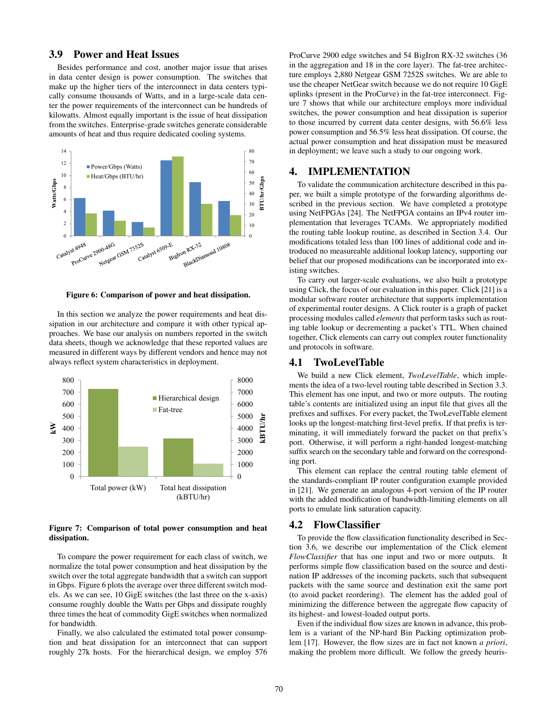# **3.9 Power and Heat Issues**

Besides performance and cost, another major issue that arises in data center design is power consumption. The switches that make up the higher tiers of the interconnect in data centers typically consume thousands of Watts, and in a large-scale data center the power requirements of the interconnect can be hundreds of kilowatts. Almost equally important is the issue of heat dissipation from the switches. Enterprise-grade switches generate considerable amounts of heat and thus require dedicated cooling systems.



**Figure 6: Comparison of power and heat dissipation.**

In this section we analyze the power requirements and heat dissipation in our architecture and compare it with other typical approaches. We base our analysis on numbers reported in the switch data sheets, though we acknowledge that these reported values are measured in different ways by different vendors and hence may not always reflect system characteristics in deployment.



**Figure 7: Comparison of total power consumption and heat dissipation.**

To compare the power requirement for each class of switch, we normalize the total power consumption and heat dissipation by the switch over the total aggregate bandwidth that a switch can support in Gbps. Figure 6 plots the average over three different switch models. As we can see, 10 GigE switches (the last three on the x-axis) consume roughly double the Watts per Gbps and dissipate roughly three times the heat of commodity GigE switches when normalized for bandwidth.

Finally, we also calculated the estimated total power consumption and heat dissipation for an interconnect that can support roughly 27k hosts. For the hierarchical design, we employ 576

ProCurve 2900 edge switches and 54 BigIron RX-32 switches (36 in the aggregation and 18 in the core layer). The fat-tree architecture employs 2,880 Netgear GSM 7252S switches. We are able to use the cheaper NetGear switch because we do not require 10 GigE uplinks (present in the ProCurve) in the fat-tree interconnect. Figure 7 shows that while our architecture employs more individual switches, the power consumption and heat dissipation is superior to those incurred by current data center designs, with 56.6% less power consumption and 56.5% less heat dissipation. Of course, the actual power consumption and heat dissipation must be measured in deployment; we leave such a study to our ongoing work.

## **4. IMPLEMENTATION**

To validate the communication architecture described in this paper, we built a simple prototype of the forwarding algorithms described in the previous section. We have completed a prototype using NetFPGAs [24]. The NetFPGA contains an IPv4 router implementation that leverages TCAMs. We appropriately modified the routing table lookup routine, as described in Section 3.4. Our modifications totaled less than 100 lines of additional code and introduced no measureable additional lookup latency, supporting our belief that our proposed modifications can be incorporated into existing switches.

To carry out larger-scale evaluations, we also built a prototype using Click, the focus of our evaluation in this paper. Click [21] is a modular software router architecture that supports implementation of experimental router designs. A Click router is a graph of packet processing modules called *elements* that perform tasks such as routing table lookup or decrementing a packet's TTL. When chained together, Click elements can carry out complex router functionality and protocols in software.

#### **4.1 TwoLevelTable**

We build a new Click element, *TwoLevelTable*, which implements the idea of a two-level routing table described in Section 3.3. This element has one input, and two or more outputs. The routing table's contents are initialized using an input file that gives all the prefixes and suffixes. For every packet, the TwoLevelTable element looks up the longest-matching first-level prefix. If that prefix is terminating, it will immediately forward the packet on that prefix's port. Otherwise, it will perform a right-handed longest-matching suffix search on the secondary table and forward on the corresponding port.

This element can replace the central routing table element of the standards-compliant IP router configuration example provided in [21]. We generate an analogous 4-port version of the IP router with the added modification of bandwidth-limiting elements on all ports to emulate link saturation capacity.

#### **4.2 FlowClassifier**

To provide the flow classification functionality described in Section 3.6, we describe our implementation of the Click element *FlowClassifier* that has one input and two or more outputs. It performs simple flow classification based on the source and destination IP addresses of the incoming packets, such that subsequent packets with the same source and destination exit the same port (to avoid packet reordering). The element has the added goal of minimizing the difference between the aggregate flow capacity of its highest- and lowest-loaded output ports.

Even if the individual flow sizes are known in advance, this problem is a variant of the NP-hard Bin Packing optimization problem [17]. However, the flow sizes are in fact not known *a priori*, making the problem more difficult. We follow the greedy heuris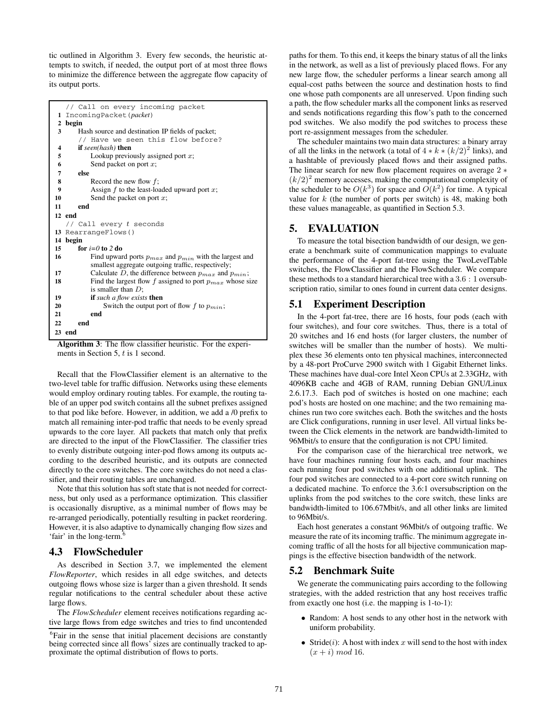tic outlined in Algorithm 3. Every few seconds, the heuristic attempts to switch, if needed, the output port of at most three flows to minimize the difference between the aggregate flow capacity of its output ports.

|    | // Call on every incoming packet                               |  |  |  |
|----|----------------------------------------------------------------|--|--|--|
|    | 1 IncomingPacket (packet)                                      |  |  |  |
|    | 2 begin                                                        |  |  |  |
| 3  | Hash source and destination IP fields of packet;               |  |  |  |
|    | // Have we seen this flow before?                              |  |  |  |
| 4  | <b>if</b> seen(hash) <b>then</b>                               |  |  |  |
| 5  | Lookup previously assigned port $x$ ;                          |  |  |  |
| 6  | Send packet on port $x$ ;                                      |  |  |  |
| 7  | else                                                           |  |  |  |
| 8  | Record the new flow $f$ ;                                      |  |  |  |
| 9  | Assign $f$ to the least-loaded upward port $x$ ;               |  |  |  |
| 10 | Send the packet on port $x$ ;                                  |  |  |  |
| 11 | end                                                            |  |  |  |
|    | 12 end                                                         |  |  |  |
|    | // Call every $t$ seconds                                      |  |  |  |
|    | 13 RearrangeFlows()                                            |  |  |  |
|    | 14 begin                                                       |  |  |  |
| 15 | for $i=0$ to 2 do                                              |  |  |  |
| 16 | Find upward ports $p_{max}$ and $p_{min}$ with the largest and |  |  |  |
|    | smallest aggregate outgoing traffic, respectively;             |  |  |  |
| 17 | Calculate D, the difference between $p_{max}$ and $p_{min}$ ;  |  |  |  |
| 18 | Find the largest flow f assigned to port $p_{max}$ whose size  |  |  |  |
|    | is smaller than $D$ ;                                          |  |  |  |
| 19 | <b>if</b> such a flow exists <b>then</b>                       |  |  |  |
| 20 | Switch the output port of flow $f$ to $p_{min}$ ;              |  |  |  |
| 21 | end                                                            |  |  |  |
| 22 | end                                                            |  |  |  |
|    | 23 end                                                         |  |  |  |
|    |                                                                |  |  |  |

**Algorithm 3**: The flow classifier heuristic. For the experiments in Section 5, *t* is 1 second.

Recall that the FlowClassifier element is an alternative to the two-level table for traffic diffusion. Networks using these elements would employ ordinary routing tables. For example, the routing table of an upper pod switch contains all the subnet prefixes assigned to that pod like before. However, in addition, we add a /0 prefix to match all remaining inter-pod traffic that needs to be evenly spread upwards to the core layer. All packets that match only that prefix are directed to the input of the FlowClassifier. The classifier tries to evenly distribute outgoing inter-pod flows among its outputs according to the described heuristic, and its outputs are connected directly to the core switches. The core switches do not need a classifier, and their routing tables are unchanged.

Note that this solution has soft state that is not needed for correctness, but only used as a performance optimization. This classifier is occasionally disruptive, as a minimal number of flows may be re-arranged periodically, potentially resulting in packet reordering. However, it is also adaptive to dynamically changing flow sizes and 'fair' in the long-term.<sup>6</sup>

# **4.3 FlowScheduler**

As described in Section 3.7, we implemented the element *FlowReporter*, which resides in all edge switches, and detects outgoing flows whose size is larger than a given threshold. It sends regular notifications to the central scheduler about these active large flows.

The *FlowScheduler* element receives notifications regarding active large flows from edge switches and tries to find uncontended paths for them. To this end, it keeps the binary status of all the links in the network, as well as a list of previously placed flows. For any new large flow, the scheduler performs a linear search among all equal-cost paths between the source and destination hosts to find one whose path components are all unreserved. Upon finding such a path, the flow scheduler marks all the component links as reserved and sends notifications regarding this flow's path to the concerned pod switches. We also modify the pod switches to process these port re-assignment messages from the scheduler.

The scheduler maintains two main data structures: a binary array of all the links in the network (a total of  $4 * k * (k/2)^2$  links), and a hashtable of previously placed flows and their assigned paths. The linear search for new flow placement requires on average 2 ∗  $(k/2)^2$  memory accesses, making the computational complexity of the scheduler to be  $O(k^3)$  for space and  $O(k^2)$  for time. A typical value for *k* (the number of ports per switch) is 48, making both these values manageable, as quantified in Section 5.3.

# **5. EVALUATION**

To measure the total bisection bandwidth of our design, we generate a benchmark suite of communication mappings to evaluate the performance of the 4-port fat-tree using the TwoLevelTable switches, the FlowClassifier and the FlowScheduler. We compare these methods to a standard hierarchical tree with a 3*.*6:1 oversubscription ratio, similar to ones found in current data center designs.

# **5.1 Experiment Description**

In the 4-port fat-tree, there are 16 hosts, four pods (each with four switches), and four core switches. Thus, there is a total of 20 switches and 16 end hosts (for larger clusters, the number of switches will be smaller than the number of hosts). We multiplex these 36 elements onto ten physical machines, interconnected by a 48-port ProCurve 2900 switch with 1 Gigabit Ethernet links. These machines have dual-core Intel Xeon CPUs at 2.33GHz, with 4096KB cache and 4GB of RAM, running Debian GNU/Linux 2.6.17.3. Each pod of switches is hosted on one machine; each pod's hosts are hosted on one machine; and the two remaining machines run two core switches each. Both the switches and the hosts are Click configurations, running in user level. All virtual links between the Click elements in the network are bandwidth-limited to 96Mbit/s to ensure that the configuration is not CPU limited.

For the comparison case of the hierarchical tree network, we have four machines running four hosts each, and four machines each running four pod switches with one additional uplink. The four pod switches are connected to a 4-port core switch running on a dedicated machine. To enforce the 3.6:1 oversubscription on the uplinks from the pod switches to the core switch, these links are bandwidth-limited to 106.67Mbit/s, and all other links are limited to 96Mbit/s.

Each host generates a constant 96Mbit/s of outgoing traffic. We measure the rate of its incoming traffic. The minimum aggregate incoming traffic of all the hosts for all bijective communication mappings is the effective bisection bandwidth of the network.

## **5.2 Benchmark Suite**

We generate the communicating pairs according to the following strategies, with the added restriction that any host receives traffic from exactly one host (i.e. the mapping is 1-to-1):

- Random: A host sends to any other host in the network with uniform probability.
- Stride( $i$ ): A host with index  $x$  will send to the host with index  $(x + i) \mod 16$ .

<sup>&</sup>lt;sup>6</sup>Fair in the sense that initial placement decisions are constantly being corrected since all flows' sizes are continually tracked to approximate the optimal distribution of flows to ports.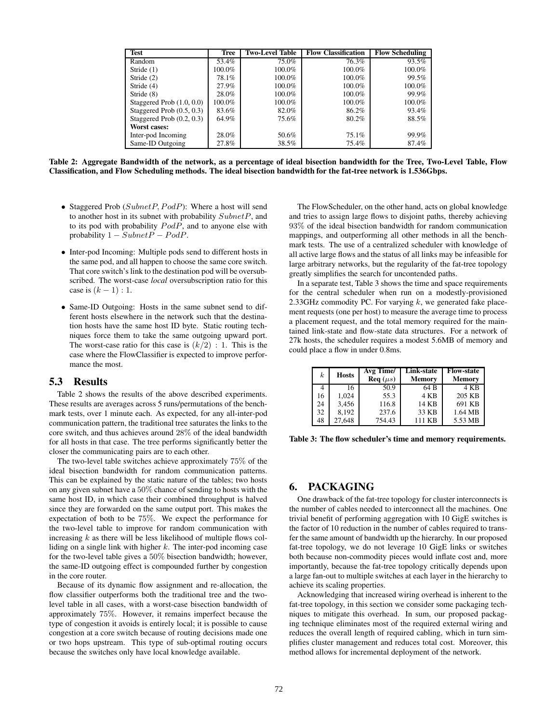| <b>Test</b>                 | Tree   | <b>Two-Level Table</b> | <b>Flow Classification</b> | <b>Flow Scheduling</b> |
|-----------------------------|--------|------------------------|----------------------------|------------------------|
| Random                      | 53.4%  | 75.0%                  | 76.3%                      | 93.5%                  |
| Stride $(1)$                | 100.0% | 100.0%                 | 100.0%                     | 100.0%                 |
| Stride $(2)$                | 78.1%  | 100.0%                 | 100.0%                     | 99.5%                  |
| Stride (4)                  | 27.9%  | 100.0%                 | 100.0%                     | 100.0%                 |
| Stride (8)                  | 28.0%  | 100.0%                 | 100.0%                     | 99.9%                  |
| Staggered Prob $(1.0, 0.0)$ | 100.0% | 100.0%                 | 100.0%                     | 100.0%                 |
| Staggered Prob $(0.5, 0.3)$ | 83.6%  | 82.0%                  | 86.2%                      | 93.4%                  |
| Staggered Prob $(0.2, 0.3)$ | 64.9%  | 75.6%                  | 80.2%                      | 88.5%                  |
| <b>Worst cases:</b>         |        |                        |                            |                        |
| Inter-pod Incoming          | 28.0%  | 50.6%                  | 75.1%                      | 99.9%                  |
| Same-ID Outgoing            | 27.8%  | 38.5%                  | 75.4%                      | 87.4%                  |

**Table 2: Aggregate Bandwidth of the network, as a percentage of ideal bisection bandwidth for the Tree, Two-Level Table, Flow Classification, and Flow Scheduling methods. The ideal bisection bandwidth for the fat-tree network is 1.536Gbps.**

- Staggered Prob  $(SubnetP, PodP)$ : Where a host will send to another host in its subnet with probability *SubnetP*, and to its pod with probability *P odP*, and to anyone else with probability <sup>1</sup> <sup>−</sup> *SubnetP* <sup>−</sup> *P odP*.
- Inter-pod Incoming: Multiple pods send to different hosts in the same pod, and all happen to choose the same core switch. That core switch's link to the destination pod will be oversubscribed. The worst-case *local* oversubscription ratio for this case is  $(k - 1) : 1$ .
- Same-ID Outgoing: Hosts in the same subnet send to different hosts elsewhere in the network such that the destination hosts have the same host ID byte. Static routing techniques force them to take the same outgoing upward port. The worst-case ratio for this case is  $(k/2)$ : 1. This is the case where the FlowClassifier is expected to improve performance the most.

# **5.3 Results**

Table 2 shows the results of the above described experiments. These results are averages across 5 runs/permutations of the benchmark tests, over 1 minute each. As expected, for any all-inter-pod communication pattern, the traditional tree saturates the links to the core switch, and thus achieves around 28% of the ideal bandwidth for all hosts in that case. The tree performs significantly better the closer the communicating pairs are to each other.

The two-level table switches achieve approximately 75% of the ideal bisection bandwidth for random communication patterns. This can be explained by the static nature of the tables; two hosts on any given subnet have a 50% chance of sending to hosts with the same host ID, in which case their combined throughput is halved since they are forwarded on the same output port. This makes the expectation of both to be 75%. We expect the performance for the two-level table to improve for random communication with increasing *k* as there will be less likelihood of multiple flows colliding on a single link with higher *k*. The inter-pod incoming case for the two-level table gives a 50% bisection bandwidth; however, the same-ID outgoing effect is compounded further by congestion in the core router.

Because of its dynamic flow assignment and re-allocation, the flow classifier outperforms both the traditional tree and the twolevel table in all cases, with a worst-case bisection bandwidth of approximately 75%. However, it remains imperfect because the type of congestion it avoids is entirely local; it is possible to cause congestion at a core switch because of routing decisions made one or two hops upstream. This type of sub-optimal routing occurs because the switches only have local knowledge available.

The FlowScheduler, on the other hand, acts on global knowledge and tries to assign large flows to disjoint paths, thereby achieving 93% of the ideal bisection bandwidth for random communication mappings, and outperforming all other methods in all the benchmark tests. The use of a centralized scheduler with knowledge of all active large flows and the status of all links may be infeasible for large arbitrary networks, but the regularity of the fat-tree topology greatly simplifies the search for uncontended paths.

In a separate test, Table 3 shows the time and space requirements for the central scheduler when run on a modestly-provisioned 2.33GHz commodity PC. For varying *k*, we generated fake placement requests (one per host) to measure the average time to process a placement request, and the total memory required for the maintained link-state and flow-state data structures. For a network of 27k hosts, the scheduler requires a modest 5.6MB of memory and could place a flow in under 0.8ms.

| $\boldsymbol{k}$ | <b>Hosts</b> | Avg Time/             | Link-state    | <b>Flow-state</b> |
|------------------|--------------|-----------------------|---------------|-------------------|
|                  |              | $\textbf{Req}(\mu s)$ | <b>Memory</b> | Memory            |
|                  | 16           | 50.9                  | 64 B          | 4 KB              |
| 16               | 1.024        | 55.3                  | 4 KB          | 205 KB            |
| 24               | 3.456        | 116.8                 | 14 KB         | 691 KB            |
| 32               | 8.192        | 237.6                 | 33 KB         | 1.64 MB           |
| 48               | 27,648       | 754.43                | 111 KB        | 5.53 MB           |

**Table 3: The flow scheduler's time and memory requirements.**

# **6. PACKAGING**

One drawback of the fat-tree topology for cluster interconnects is the number of cables needed to interconnect all the machines. One trivial benefit of performing aggregation with 10 GigE switches is the factor of 10 reduction in the number of cables required to transfer the same amount of bandwidth up the hierarchy. In our proposed fat-tree topology, we do not leverage 10 GigE links or switches both because non-commodity pieces would inflate cost and, more importantly, because the fat-tree topology critically depends upon a large fan-out to multiple switches at each layer in the hierarchy to achieve its scaling properties.

Acknowledging that increased wiring overhead is inherent to the fat-tree topology, in this section we consider some packaging techniques to mitigate this overhead. In sum, our proposed packaging technique eliminates most of the required external wiring and reduces the overall length of required cabling, which in turn simplifies cluster management and reduces total cost. Moreover, this method allows for incremental deployment of the network.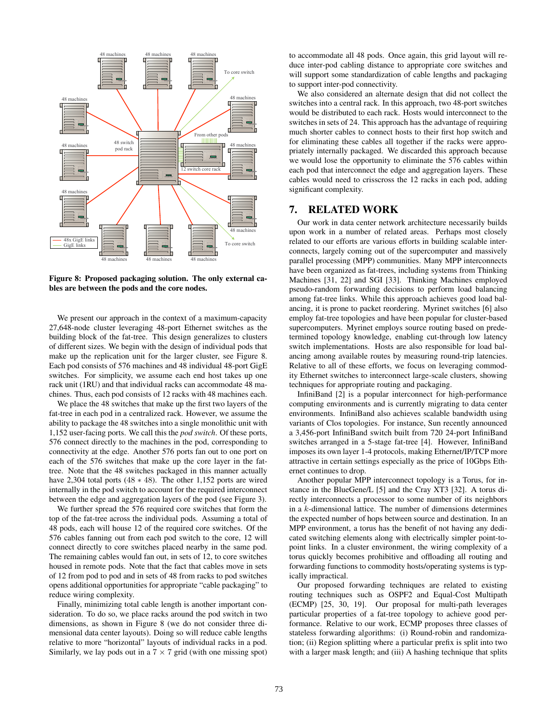

**Figure 8: Proposed packaging solution. The only external cables are between the pods and the core nodes.**

We present our approach in the context of a maximum-capacity 27,648-node cluster leveraging 48-port Ethernet switches as the building block of the fat-tree. This design generalizes to clusters of different sizes. We begin with the design of individual pods that make up the replication unit for the larger cluster, see Figure 8. Each pod consists of 576 machines and 48 individual 48-port GigE switches. For simplicity, we assume each end host takes up one rack unit (1RU) and that individual racks can accommodate 48 machines. Thus, each pod consists of 12 racks with 48 machines each.

We place the 48 switches that make up the first two layers of the fat-tree in each pod in a centralized rack. However, we assume the ability to package the 48 switches into a single monolithic unit with 1,152 user-facing ports. We call this the *pod switch*. Of these ports, 576 connect directly to the machines in the pod, corresponding to connectivity at the edge. Another 576 ports fan out to one port on each of the 576 switches that make up the core layer in the fattree. Note that the 48 switches packaged in this manner actually have 2,304 total ports (48 ∗ 48). The other 1,152 ports are wired internally in the pod switch to account for the required interconnect between the edge and aggregation layers of the pod (see Figure 3).

We further spread the 576 required core switches that form the top of the fat-tree across the individual pods. Assuming a total of 48 pods, each will house 12 of the required core switches. Of the 576 cables fanning out from each pod switch to the core, 12 will connect directly to core switches placed nearby in the same pod. The remaining cables would fan out, in sets of 12, to core switches housed in remote pods. Note that the fact that cables move in sets of 12 from pod to pod and in sets of 48 from racks to pod switches opens additional opportunities for appropriate "cable packaging" to reduce wiring complexity.

Finally, minimizing total cable length is another important consideration. To do so, we place racks around the pod switch in two dimensions, as shown in Figure 8 (we do not consider three dimensional data center layouts). Doing so will reduce cable lengths relative to more "horizontal" layouts of individual racks in a pod. Similarly, we lay pods out in a  $7 \times 7$  grid (with one missing spot) to accommodate all 48 pods. Once again, this grid layout will reduce inter-pod cabling distance to appropriate core switches and will support some standardization of cable lengths and packaging to support inter-pod connectivity.

We also considered an alternate design that did not collect the switches into a central rack. In this approach, two 48-port switches would be distributed to each rack. Hosts would interconnect to the switches in sets of 24. This approach has the advantage of requiring much shorter cables to connect hosts to their first hop switch and for eliminating these cables all together if the racks were appropriately internally packaged. We discarded this approach because we would lose the opportunity to eliminate the 576 cables within each pod that interconnect the edge and aggregation layers. These cables would need to crisscross the 12 racks in each pod, adding significant complexity.

# **7. RELATED WORK**

Our work in data center network architecture necessarily builds upon work in a number of related areas. Perhaps most closely related to our efforts are various efforts in building scalable interconnects, largely coming out of the supercomputer and massively parallel processing (MPP) communities. Many MPP interconnects have been organized as fat-trees, including systems from Thinking Machines [31, 22] and SGI [33]. Thinking Machines employed pseudo-random forwarding decisions to perform load balancing among fat-tree links. While this approach achieves good load balancing, it is prone to packet reordering. Myrinet switches [6] also employ fat-tree topologies and have been popular for cluster-based supercomputers. Myrinet employs source routing based on predetermined topology knowledge, enabling cut-through low latency switch implementations. Hosts are also responsible for load balancing among available routes by measuring round-trip latencies. Relative to all of these efforts, we focus on leveraging commodity Ethernet switches to interconnect large-scale clusters, showing techniques for appropriate routing and packaging.

InfiniBand [2] is a popular interconnect for high-performance computing environments and is currently migrating to data center environments. InfiniBand also achieves scalable bandwidth using variants of Clos topologies. For instance, Sun recently announced a 3,456-port InfiniBand switch built from 720 24-port InfiniBand switches arranged in a 5-stage fat-tree [4]. However, InfiniBand imposes its own layer 1-4 protocols, making Ethernet/IP/TCP more attractive in certain settings especially as the price of 10Gbps Ethernet continues to drop.

Another popular MPP interconnect topology is a Torus, for instance in the BlueGene/L [5] and the Cray XT3 [32]. A torus directly interconnects a processor to some number of its neighbors in a *k*-dimensional lattice. The number of dimensions determines the expected number of hops between source and destination. In an MPP environment, a torus has the benefit of not having any dedicated switching elements along with electrically simpler point-topoint links. In a cluster environment, the wiring complexity of a torus quickly becomes prohibitive and offloading all routing and forwarding functions to commodity hosts/operating systems is typically impractical.

Our proposed forwarding techniques are related to existing routing techniques such as OSPF2 and Equal-Cost Multipath (ECMP) [25, 30, 19]. Our proposal for multi-path leverages particular properties of a fat-tree topology to achieve good performance. Relative to our work, ECMP proposes three classes of stateless forwarding algorithms: (i) Round-robin and randomization; (ii) Region splitting where a particular prefix is split into two with a larger mask length; and (iii) A hashing technique that splits